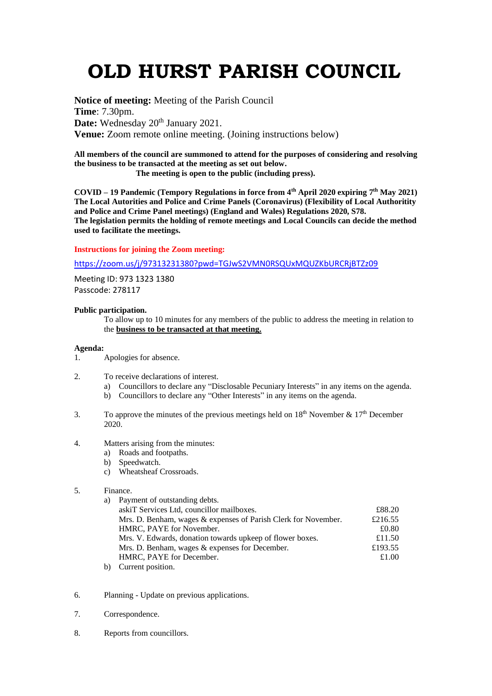# **OLD HURST PARISH COUNCIL**

**Notice of meeting:** Meeting of the Parish Council **Time**: 7.30pm. Date: Wednesday 20<sup>th</sup> January 2021. **Venue:** Zoom remote online meeting. (Joining instructions below)

**All members of the council are summoned to attend for the purposes of considering and resolving the business to be transacted at the meeting as set out below.**

 **The meeting is open to the public (including press).**

**COVID – 19 Pandemic (Tempory Regulations in force from 4th April 2020 expiring 7 th May 2021) The Local Autorities and Police and Crime Panels (Coronavirus) (Flexibility of Local Authoritity and Police and Crime Panel meetings) (England and Wales) Regulations 2020, S78. The legislation permits the holding of remote meetings and Local Councils can decide the method used to facilitate the meetings.** 

### **Instructions for joining the Zoom meeting:**

<https://zoom.us/j/97313231380?pwd=TGJwS2VMN0RSQUxMQUZKbURCRjBTZz09>

Meeting ID: 973 1323 1380 Passcode: 278117

## **Public participation.**

To allow up to 10 minutes for any members of the public to address the meeting in relation to the **business to be transacted at that meeting.** 

### **Agenda:**

- 1. Apologies for absence.
- 2. To receive declarations of interest.
	- a) Councillors to declare any "Disclosable Pecuniary Interests" in any items on the agenda.
	- b) Councillors to declare any "Other Interests" in any items on the agenda.
- 3. To approve the minutes of the previous meetings held on  $18<sup>th</sup>$  November &  $17<sup>th</sup>$  December 2020.
- 4. Matters arising from the minutes:
	- a) Roads and footpaths.
	- b) Speedwatch.
	- c) Wheatsheaf Crossroads.
- 5. Finance.

| a) Payment of outstanding debts.                               |         |
|----------------------------------------------------------------|---------|
| askiT Services Ltd, councillor mailboxes.                      | £88.20  |
| Mrs. D. Benham, wages & expenses of Parish Clerk for November. | £216.55 |
| HMRC, PAYE for November.                                       | £0.80   |
| Mrs. V. Edwards, donation towards upkeep of flower boxes.      | £11.50  |
| Mrs. D. Benham, wages & expenses for December.                 | £193.55 |
| HMRC, PAYE for December.                                       | £1.00   |
| $1.1 \quad \alpha$ . The set of $\alpha$                       |         |

- b) Current position.
- 6. Planning Update on previous applications.
- 7. Correspondence.
- 8. Reports from councillors.